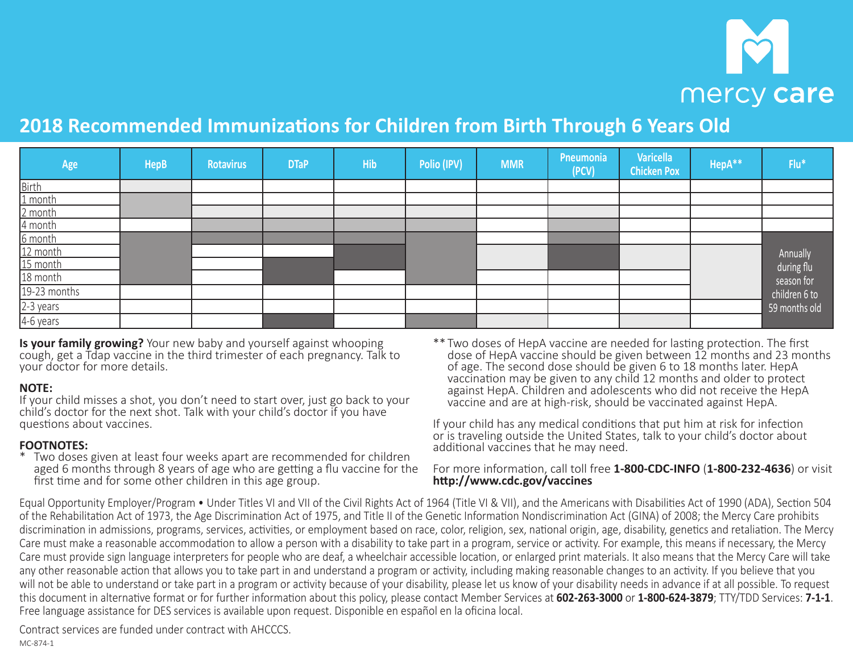# mercy care

# **2018 Recommended Immunizations for Children from Birth Through 6 Years Old**

| Age          | <b>HepB</b> | <b>Rotavirus</b> | <b>DTaP</b> | <b>Hib</b> | Polio (IPV) | <b>MMR</b> | Pneumonia<br>(PCV) | <b>Varicella</b><br><b>Chicken Pox</b> | HepA** | $Flu*$        |
|--------------|-------------|------------------|-------------|------------|-------------|------------|--------------------|----------------------------------------|--------|---------------|
| <b>Birth</b> |             |                  |             |            |             |            |                    |                                        |        |               |
| 1 month      |             |                  |             |            |             |            |                    |                                        |        |               |
| 2 month      |             |                  |             |            |             |            |                    |                                        |        |               |
| 4 month      |             |                  |             |            |             |            |                    |                                        |        |               |
| 6 month      |             |                  |             |            |             |            |                    |                                        |        |               |
| 12 month     |             |                  |             |            |             |            |                    |                                        |        | Annually      |
| 15 month     |             |                  |             |            |             |            |                    |                                        |        | during flu    |
| 18 month     |             |                  |             |            |             |            |                    |                                        |        | season for    |
| 19-23 months |             |                  |             |            |             |            |                    |                                        |        | children 6 to |
| $2-3$ years  |             |                  |             |            |             |            |                    |                                        |        | 59 months old |
| $4-6$ years  |             |                  |             |            |             |            |                    |                                        |        |               |

**Is your family growing?** Your new baby and yourself against whooping cough, get a Tdap vaccine in the third trimester of each pregnancy. Talk to your doctor for more details.

## **NOTE:**

If your child misses a shot, you don't need to start over, just go back to your child's doctor for the next shot. Talk with your child's doctor if you have questions about vaccines.

## **FOOTNOTES:**

- Two doses given at least four weeks apart are recommended for children aged 6 months through 8 years of age who are getting a flu vaccine for the first time and for some other children in this age group.
- \*\* Two doses of HepA vaccine are needed for lasting protection. The first dose of HepA vaccine should be given between 12 months and 23 months of age. The second dose should be given 6 to 18 months later. HepA vaccination may be given to any child 12 months and older to protect against HepA. Children and adolescents who did not receive the HepA vaccine and are at high-risk, should be vaccinated against HepA.

If your child has any medical conditions that put him at risk for infection or is traveling outside the United States, talk to your child's doctor about additional vaccines that he may need.

### For more information, call toll free **1‑800‑CDC‑INFO** (**1‑800‑232‑4636**) or visit **http://www.cdc.gov/vaccines**

Equal Opportunity Employer/Program • Under Titles VI and VII of the Civil Rights Act of 1964 (Title VI & VII), and the Americans with Disabilities Act of 1990 (ADA), Section 504 of the Rehabilitation Act of 1973, the Age Discrimination Act of 1975, and Title II of the Genetic Information Nondiscrimination Act (GINA) of 2008; the Mercy Care prohibits discrimination in admissions, programs, services, activities, or employment based on race, color, religion, sex, national origin, age, disability, genetics and retaliation. The Mercy Care must make a reasonable accommodation to allow a person with a disability to take part in a program, service or activity. For example, this means if necessary, the Mercy Care must provide sign language interpreters for people who are deaf, a wheelchair accessible location, or enlarged print materials. It also means that the Mercy Care will take any other reasonable action that allows you to take part in and understand a program or activity, including making reasonable changes to an activity. If you believe that you will not be able to understand or take part in a program or activity because of your disability, please let us know of your disability needs in advance if at all possible. To request this document in alternative format or for further information about this policy, please contact Member Services at **602‑263‑3000** or **1‑800‑624‑3879**; TTY/TDD Services: **7‑1‑1**. Free language assistance for DES services is available upon request. Disponible en español en la oficina local.

Contract services are funded under contract with AHCCCS. MC-874-1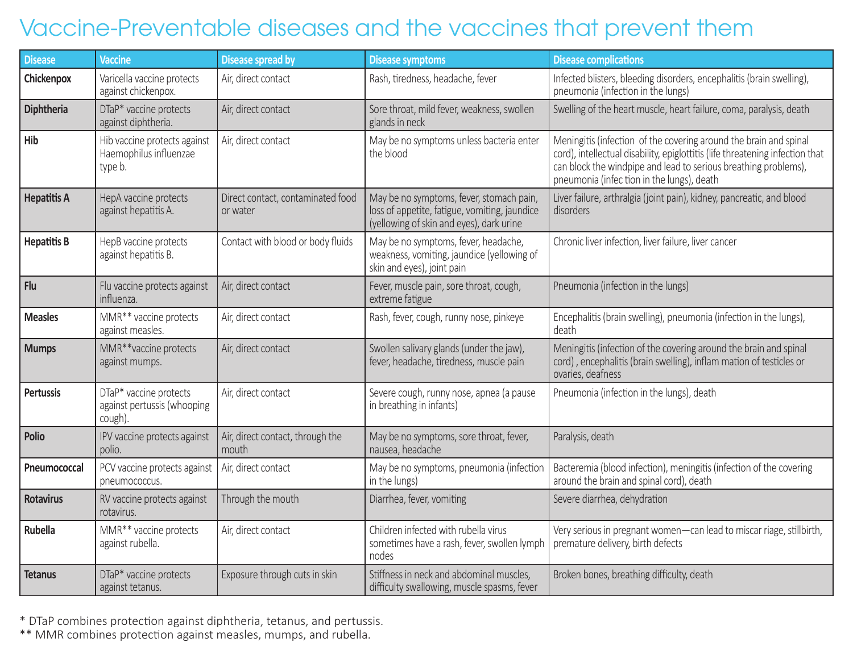# Vaccine-Preventable diseases and the vaccines that prevent them

| <b>Disease</b>     | <b>Vaccine</b>                                                    | <b>Disease spread by</b>                      | <b>Disease symptoms</b>                                                                                                               | <b>Disease complications</b>                                                                                                                                                                                                                                       |
|--------------------|-------------------------------------------------------------------|-----------------------------------------------|---------------------------------------------------------------------------------------------------------------------------------------|--------------------------------------------------------------------------------------------------------------------------------------------------------------------------------------------------------------------------------------------------------------------|
| Chickenpox         | Varicella vaccine protects<br>against chickenpox.                 | Air, direct contact                           | Rash, tiredness, headache, fever                                                                                                      | Infected blisters, bleeding disorders, encephalitis (brain swelling),<br>pneumonia (infection in the lungs)                                                                                                                                                        |
| Diphtheria         | DTaP* vaccine protects<br>against diphtheria.                     | Air, direct contact                           | Sore throat, mild fever, weakness, swollen<br>glands in neck                                                                          | Swelling of the heart muscle, heart failure, coma, paralysis, death                                                                                                                                                                                                |
| Hib                | Hib vaccine protects against<br>Haemophilus influenzae<br>type b. | Air, direct contact                           | May be no symptoms unless bacteria enter<br>the blood                                                                                 | Meningitis (infection of the covering around the brain and spinal<br>cord), intellectual disability, epiglottitis (life threatening infection that<br>can block the windpipe and lead to serious breathing problems),<br>pneumonia (infection in the lungs), death |
| <b>Hepatitis A</b> | HepA vaccine protects<br>against hepatitis A.                     | Direct contact, contaminated food<br>or water | May be no symptoms, fever, stomach pain,<br>loss of appetite, fatigue, vomiting, jaundice<br>(yellowing of skin and eyes), dark urine | Liver failure, arthralgia (joint pain), kidney, pancreatic, and blood<br>disorders                                                                                                                                                                                 |
| <b>Hepatitis B</b> | HepB vaccine protects<br>against hepatitis B.                     | Contact with blood or body fluids             | May be no symptoms, fever, headache,<br>weakness, vomiting, jaundice (yellowing of<br>skin and eyes), joint pain                      | Chronic liver infection, liver failure, liver cancer                                                                                                                                                                                                               |
| Flu                | Flu vaccine protects against<br>influenza.                        | Air, direct contact                           | Fever, muscle pain, sore throat, cough,<br>extreme fatigue                                                                            | Pneumonia (infection in the lungs)                                                                                                                                                                                                                                 |
| <b>Measles</b>     | MMR** vaccine protects<br>against measles.                        | Air, direct contact                           | Rash, fever, cough, runny nose, pinkeye                                                                                               | Encephalitis (brain swelling), pneumonia (infection in the lungs),<br>death                                                                                                                                                                                        |
| <b>Mumps</b>       | MMR**vaccine protects<br>against mumps.                           | Air, direct contact                           | Swollen salivary glands (under the jaw),<br>fever, headache, tiredness, muscle pain                                                   | Meningitis (infection of the covering around the brain and spinal<br>cord), encephalitis (brain swelling), inflam mation of testicles or<br>ovaries, deafness                                                                                                      |
| <b>Pertussis</b>   | DTaP* vaccine protects<br>against pertussis (whooping<br>cough).  | Air, direct contact                           | Severe cough, runny nose, apnea (a pause<br>in breathing in infants)                                                                  | Pneumonia (infection in the lungs), death                                                                                                                                                                                                                          |
| Polio              | IPV vaccine protects against<br>polio.                            | Air, direct contact, through the<br>mouth     | May be no symptoms, sore throat, fever,<br>nausea, headache                                                                           | Paralysis, death                                                                                                                                                                                                                                                   |
| Pneumococcal       | PCV vaccine protects against<br>pneumococcus.                     | Air, direct contact                           | May be no symptoms, pneumonia (infection<br>in the lungs)                                                                             | Bacteremia (blood infection), meningitis (infection of the covering<br>around the brain and spinal cord), death                                                                                                                                                    |
| <b>Rotavirus</b>   | RV vaccine protects against<br>rotavirus.                         | Through the mouth                             | Diarrhea, fever, vomiting                                                                                                             | Severe diarrhea, dehydration                                                                                                                                                                                                                                       |
| <b>Rubella</b>     | MMR** vaccine protects<br>against rubella.                        | Air, direct contact                           | Children infected with rubella virus<br>sometimes have a rash, fever, swollen lymph<br>nodes                                          | Very serious in pregnant women-can lead to miscar riage, stillbirth,<br>premature delivery, birth defects                                                                                                                                                          |
| <b>Tetanus</b>     | DTaP* vaccine protects<br>against tetanus.                        | Exposure through cuts in skin                 | Stiffness in neck and abdominal muscles,<br>difficulty swallowing, muscle spasms, fever                                               | Broken bones, breathing difficulty, death                                                                                                                                                                                                                          |

\* DTaP combines protection against diphtheria, tetanus, and pertussis.

\*\* MMR combines protection against measles, mumps, and rubella.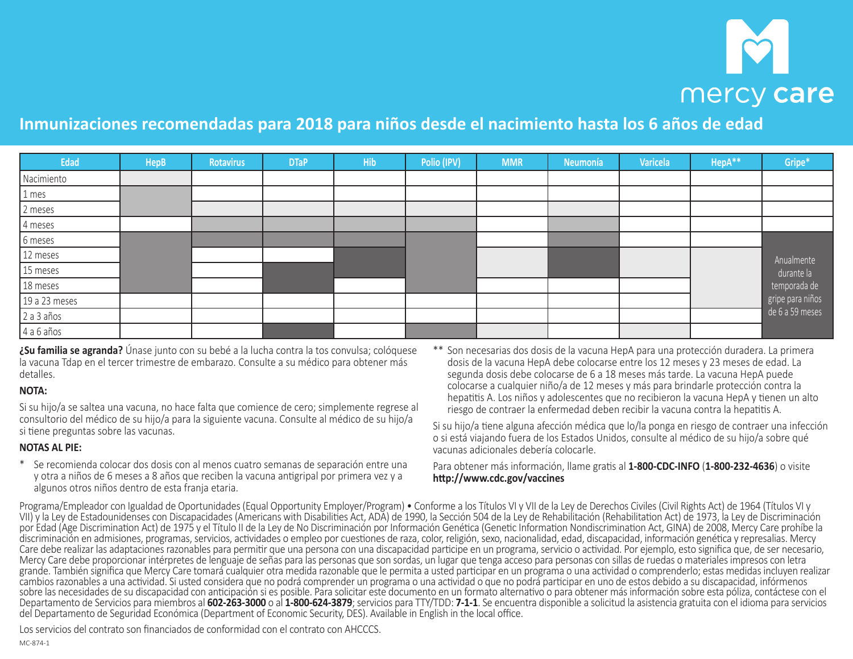# mercy care

# **Inmunizaciones recomendadas para 2018 para niños desde el nacimiento hasta los 6 años de edad**

| Edad          | <b>HepB</b> | Rotavirus | <b>DTaP</b> | <b>Hib</b> | Polio (IPV) | <b>MMR</b> | Neumonía | Varicela | HepA** | Gripe*                           |
|---------------|-------------|-----------|-------------|------------|-------------|------------|----------|----------|--------|----------------------------------|
| Nacimiento    |             |           |             |            |             |            |          |          |        |                                  |
| 1 mes         |             |           |             |            |             |            |          |          |        |                                  |
| 2 meses       |             |           |             |            |             |            |          |          |        |                                  |
| 4 meses       |             |           |             |            |             |            |          |          |        |                                  |
| 6 meses       |             |           |             |            |             |            |          |          |        |                                  |
| 12 meses      |             |           |             |            |             |            |          |          |        | Anualmente                       |
| 15 meses      |             |           |             |            |             |            |          |          |        | durante la                       |
| 18 meses      |             |           |             |            |             |            |          |          |        | temporada de<br>gripe para niños |
| 19 a 23 meses |             |           |             |            |             |            |          |          |        |                                  |
| 2 a 3 años    |             |           |             |            |             |            |          |          |        | de 6 a 59 meses                  |
| $4a6a$ ños    |             |           |             |            |             |            |          |          |        |                                  |

**¿Su familia se agranda?** Únase junto con su bebé a la lucha contra la tos convulsa; colóquese la vacuna Tdap en el tercer trimestre de embarazo. Consulte a su médico para obtener más detalles.

### **NOTA:**

Si su hijo/a se saltea una vacuna, no hace falta que comience de cero; simplemente regrese al consultorio del médico de su hijo/a para la siguiente vacuna. Consulte al médico de su hijo/a si tiene preguntas sobre las vacunas.

#### **NOTAS AL PIE:**

- \* Se recomienda colocar dos dosis con al menos cuatro semanas de separación entre una y otra a niños de 6 meses a 8 años que reciben la vacuna antigripal por primera vez y a algunos otros niños dentro de esta franja etaria.
- \*\* Son necesarias dos dosis de la vacuna HepA para una protección duradera. La primera dosis de la vacuna HepA debe colocarse entre los 12 meses y 23 meses de edad. La segunda dosis debe colocarse de 6 a 18 meses más tarde. La vacuna HepA puede colocarse a cualquier niño/a de 12 meses y más para brindarle protección contra la hepatitis A. Los niños y adolescentes que no recibieron la vacuna HepA y tienen un alto riesgo de contraer la enfermedad deben recibir la vacuna contra la hepatitis A.

Si su hijo/a tiene alguna afección médica que lo/la ponga en riesgo de contraer una infección o si está viajando fuera de los Estados Unidos, consulte al médico de su hijo/a sobre qué vacunas adicionales debería colocarle.

Para obtener más información, llame gratis al **1‑800‑CDC‑INFO** (**1‑800‑232‑4636**) o visite **http://www.cdc.gov/vaccines**

Programa/Empleador con Igualdad de Oportunidades (Equal Opportunity Employer/Program) • Conforme a los Títulos VI y VII de la Ley de Derechos Civiles (Civil Rights Act) de 1964 (Títulos VI y VII) y la Ley de Estadounidenses con Discapacidades (Americans with Disabilities Act, ADA) de 1990, la Sección 504 de la Ley de Rehabilitación (Rehabilitation Act) de 1973, la Ley de Discriminación por Edad (Age Discrimination Act) de 1975 y el Título II de la Ley de No Discriminación por Información Genética (Genetic Information Nondiscrimination Act, GINA) de 2008, Mercy Care prohíbe la discriminación en admisiones, programas, servicios, actividades o empleo por cuestiones de raza, color, religión, sexo, nacionalidad, edad, discapacidad, información genética y represalias. Mercy Care debe realizar las adaptaciones razonables para permitir que una persona con una discapacidad participe en un programa, servicio o actividad. Por ejemplo, esto significa que, de ser necesario, Mercy Care debe proporcionar intérpretes de lenguaje de señas para las personas que son sordas, un lugar que tenga acceso para personas con sillas de ruedas o materiales impresos con letra grande. También significa que Mercy Care tomará cualquier otra medida razonable que le permita a usted participar en un programa o una actividad o comprenderlo; estas medidas incluyen realizar cambios razonables a una actividad. Si usted considera que no podrá comprender un programa o una actividad o que no podrá participar en uno de estos debido a su discapacidad, infórmenos sobre las necesidades de su discapacidad con anticipación si es posible. Para solicitar este documento en un formato alternativo o para obtener más información sobre esta póliza, contáctese con el Departamento de Servicios para miembros al **602‑263‑3000** o al **1‑800‑624‑3879**; servicios para TTY/TDD: **7‑1‑1**. Se encuentra disponible a solicitud la asistencia gratuita con el idioma para servicios del Departamento de Seguridad Económica (Department of Economic Security, DES). Available in English in the local office.

Los servicios del contrato son financiados de conformidad con el contrato con AHCCCS.

MC-874-1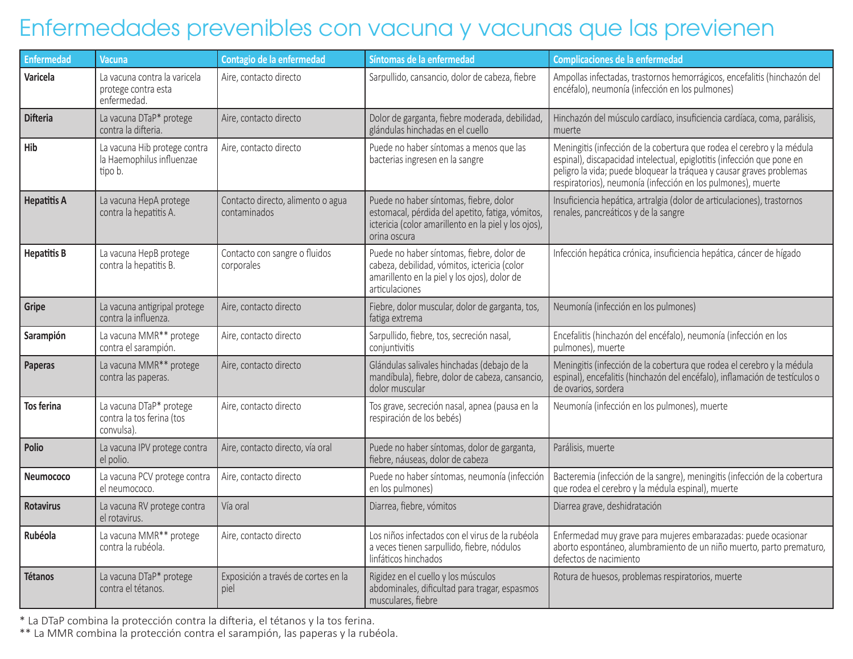# Enfermedades prevenibles con vacuna y vacunas que las previenen

| <b>Enfermedad</b>  | <b>Vacuna</b>                                                        | Contagio de la enfermedad                         | Síntomas de la enfermedad                                                                                                                                          | <b>Complicaciones de la enfermedad</b>                                                                                                                                                                                                                                                   |
|--------------------|----------------------------------------------------------------------|---------------------------------------------------|--------------------------------------------------------------------------------------------------------------------------------------------------------------------|------------------------------------------------------------------------------------------------------------------------------------------------------------------------------------------------------------------------------------------------------------------------------------------|
| Varicela           | La vacuna contra la varicela<br>protege contra esta<br>enfermedad.   | Aire, contacto directo                            | Sarpullido, cansancio, dolor de cabeza, fiebre                                                                                                                     | Ampollas infectadas, trastornos hemorrágicos, encefalitis (hinchazón del<br>encéfalo), neumonía (infección en los pulmones)                                                                                                                                                              |
| <b>Difteria</b>    | La vacuna DTaP* protege<br>contra la difteria.                       | Aire, contacto directo                            | Dolor de garganta, fiebre moderada, debilidad,<br>glándulas hinchadas en el cuello                                                                                 | Hinchazón del músculo cardíaco, insuficiencia cardíaca, coma, parálisis,<br>muerte                                                                                                                                                                                                       |
| Hib                | La vacuna Hib protege contra<br>la Haemophilus influenzae<br>tipo b. | Aire, contacto directo                            | Puede no haber síntomas a menos que las<br>bacterias ingresen en la sangre                                                                                         | Meningitis (infección de la cobertura que rodea el cerebro y la médula<br>espinal), discapacidad intelectual, epiglotitis (infección que pone en<br>peligro la vida; puede bloquear la tráquea y causar graves problemas<br>respiratorios), neumonía (infección en los pulmones), muerte |
| <b>Hepatitis A</b> | La vacuna HepA protege<br>contra la hepatitis A.                     | Contacto directo, alimento o agua<br>contaminados | Puede no haber síntomas, fiebre, dolor<br>estomacal, pérdida del apetito, fatiga, vómitos,<br>ictericia (color amarillento en la piel y los ojos),<br>orina oscura | Insuficiencia hepática, artralgia (dolor de articulaciones), trastornos<br>renales, pancreáticos y de la sangre                                                                                                                                                                          |
| <b>Hepatitis B</b> | La vacuna HepB protege<br>contra la hepatitis B.                     | Contacto con sangre o fluidos<br>corporales       | Puede no haber síntomas, fiebre, dolor de<br>cabeza, debilidad, vómitos, ictericia (color<br>amarillento en la piel y los ojos), dolor de<br>articulaciones        | Infección hepática crónica, insuficiencia hepática, cáncer de hígado                                                                                                                                                                                                                     |
| Gripe              | La vacuna antigripal protege<br>contra la influenza.                 | Aire, contacto directo                            | Fiebre, dolor muscular, dolor de garganta, tos,<br>fatiga extrema                                                                                                  | Neumonía (infección en los pulmones)                                                                                                                                                                                                                                                     |
| Sarampión          | La vacuna MMR** protege<br>contra el sarampión.                      | Aire, contacto directo                            | Sarpullido, fiebre, tos, secreción nasal,<br>conjuntivitis                                                                                                         | Encefalitis (hinchazón del encéfalo), neumonía (infección en los<br>pulmones), muerte                                                                                                                                                                                                    |
| Paperas            | La vacuna MMR** protege<br>contra las paperas.                       | Aire, contacto directo                            | Glándulas salivales hinchadas (debajo de la<br>mandíbula), fiebre, dolor de cabeza, cansancio,<br>dolor muscular                                                   | Meningitis (infección de la cobertura que rodea el cerebro y la médula<br>espinal), encefalitis (hinchazón del encéfalo), inflamación de testículos o<br>de ovarios, sordera                                                                                                             |
| <b>Tos ferina</b>  | La vacuna DTaP* protege<br>contra la tos ferina (tos<br>convulsa).   | Aire, contacto directo                            | Tos grave, secreción nasal, apnea (pausa en la<br>respiración de los bebés)                                                                                        | Neumonía (infección en los pulmones), muerte                                                                                                                                                                                                                                             |
| Polio              | La vacuna IPV protege contra<br>el polio.                            | Aire, contacto directo, vía oral                  | Puede no haber síntomas, dolor de garganta,<br>fiebre, náuseas, dolor de cabeza                                                                                    | Parálisis, muerte                                                                                                                                                                                                                                                                        |
| Neumococo          | La vacuna PCV protege contra<br>el neumococo.                        | Aire, contacto directo                            | Puede no haber síntomas, neumonía (infección<br>en los pulmones)                                                                                                   | Bacteremia (infección de la sangre), meningitis (infección de la cobertura<br>que rodea el cerebro y la médula espinal), muerte                                                                                                                                                          |
| <b>Rotavirus</b>   | La vacuna RV protege contra<br>el rotavirus.                         | Vía oral                                          | Diarrea, fiebre, vómitos                                                                                                                                           | Diarrea grave, deshidratación                                                                                                                                                                                                                                                            |
| Rubéola            | La vacuna MMR** protege<br>contra la rubéola.                        | Aire, contacto directo                            | Los niños infectados con el virus de la rubéola<br>a veces tienen sarpullido, fiebre, nódulos<br>linfáticos hinchados                                              | Enfermedad muy grave para mujeres embarazadas: puede ocasionar<br>aborto espontáneo, alumbramiento de un niño muerto, parto prematuro,<br>defectos de nacimiento                                                                                                                         |
| <b>Tétanos</b>     | La vacuna DTaP* protege<br>contra el tétanos.                        | Exposición a través de cortes en la<br>piel       | Rigidez en el cuello y los músculos<br>abdominales, dificultad para tragar, espasmos<br>musculares, fiebre                                                         | Rotura de huesos, problemas respiratorios, muerte                                                                                                                                                                                                                                        |

\* La DTaP combina la protección contra la difteria, el tétanos y la tos ferina.

\*\* La MMR combina la protección contra el sarampión, las paperas y la rubéola.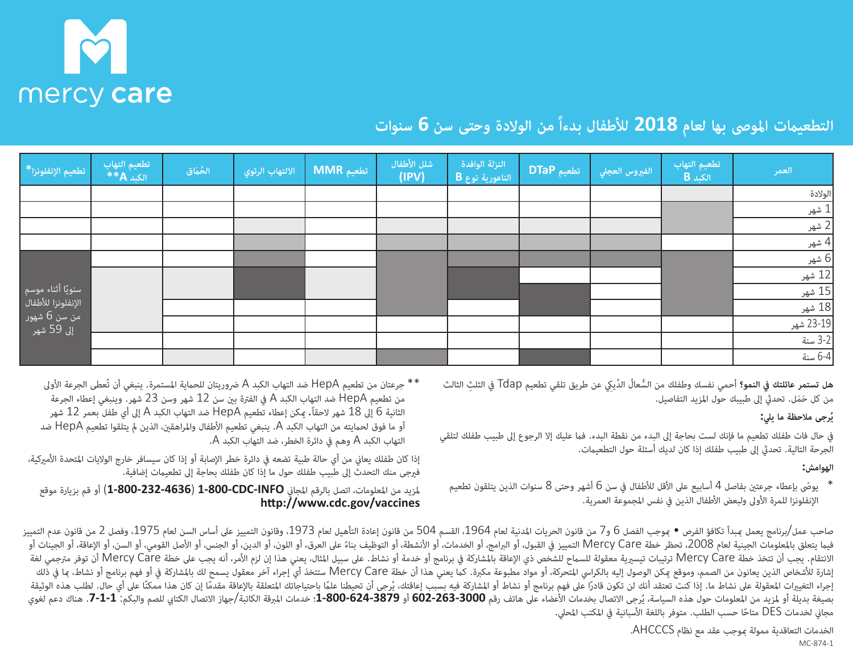

# **التطعيامت املوىص بها لعام 2018 لألطفال بدءاً من الوالدة وحتى سن 6 سنوات**

| لتطعيم الإنفلونزا*__       | تطعيم التهاب<br>الكبد <b>A</b> ** | الحُمَاق | <mark>الالتهاب الرئوي ا</mark> | MMR تطعيم | شلل الأطفال<br>(IPV) | النزلة الوافدة<br>الناعورية نوع $\overline{\mathbf{B}}$ | <mark>/ تطعيم DTaP</mark> | الفيروس العجلي | تطعيم التهاب<br>$B = x^2$ | العمر     |
|----------------------------|-----------------------------------|----------|--------------------------------|-----------|----------------------|---------------------------------------------------------|---------------------------|----------------|---------------------------|-----------|
|                            |                                   |          |                                |           |                      |                                                         |                           |                |                           | الولادة   |
|                            |                                   |          |                                |           |                      |                                                         |                           |                |                           | 1 شهر     |
|                            |                                   |          |                                |           |                      |                                                         |                           |                |                           | 2 شهر     |
|                            |                                   |          |                                |           |                      |                                                         |                           |                |                           | 4 شهر     |
|                            |                                   |          |                                |           |                      |                                                         |                           |                |                           | 6 شهر     |
|                            |                                   |          |                                |           |                      |                                                         |                           |                |                           | 12 شهر    |
| سنويًا أثناء موسم          |                                   |          |                                |           |                      |                                                         |                           |                |                           | 15 شهر    |
| الإنفلونزا للأطفال         |                                   |          |                                |           |                      |                                                         |                           |                |                           | 18 شهر    |
| من سن 6 شهور<br>إلى 59 شهر |                                   |          |                                |           |                      |                                                         |                           |                |                           | 23-19 شهر |
|                            |                                   |          |                                |           |                      |                                                         |                           |                |                           | 3-2 سنة   |
|                            |                                   |          |                                |           |                      |                                                         |                           |                |                           | 6-4 سنة   |

**هل تستمر عائلتك يف النمو؟** أحمي نفسك وطفلك من ُّ الس ُعال ِّ الد ِيك عن طريق تلقي تطعيم Tdap يف ِ الثلث الثالث من كل حَمَل. تحدثي إلى طبيبك حول المزيد التفاصيل.

## **ُرجى مالحظة ما ييل: ي**

يف حال فات طفلك تطعيم ما فإنك لست بحاجة إىل البدء من نقطة البدء. فام عليك إال الرجوع إىل طبيب طفلك لتلقي الجرحة التالية. تحديث إىل طبيب طفلك إذا كان لديك أسئلة حول التطعيامت.

## **الهوامش:**

- \* يوصّ بإعطاء جرعتين بفاصل 4 أسابيع على الأقل للأطفال في سن 6 أشهر وحتى 8 سنوات الذين يتلقون تطعيم الإنفلونزا للمرة الأولى ولبعض الأطفال الذين في نفس المجموعة العمرية.
- \*\* جرعتان من تطعيم HepA ضد التهاب الكبد A رضوريتان للحامية املستمرة. ينبغي أن تُعطى الجرعة األوىل من تطعيم HepA ضد التهاب الكبد A يف الفرتة بني سن 12 شهر وسن 23 شهر. وينبغي إعطاء الجرعة الثانية 6 إىل 18 شهر الحقا.ً ميكن إعطاء تطعيم HepA ضد التهاب الكبد A إىل أي طفل بعمر 12 شهر أو ما فوق لحمايته من التهاب الكبد A. ينبغي تطعيم الأطفال والمراهقين، الذين لم يتلقوا تطعيم HepA ضد التهاب الكبد A وهم يف دائرة الخطر، ضد التهاب الكبد A.

إذا كان طفلك يعاين من أي حالة طبية تضعه يف دائرة خطر اإلصابة أو إذا كان سيسافر خارج الواليات املتحدة األمريكية، فريجى منك التحدث إىل طبيب طفلك حول ما إذا كان طفلك بحاجة إىل تطعيامت إضافية.

ملزيد من املعلومات، اتصل بالرقم املجاين **INFO‑CDC‑800‑1**) **4636‑232‑800‑1** (أو قم بزيارة موقع **http://www.cdc.gov/vaccines**

صاحب عمل/برنامج يعمل عبدأ تكافؤ الفرص • موجب الفصل 6 و7 من قانون العدية لعام 1964 من قانون إعادة التأهيل لعام 1973، وقانون التمييز على أساس السن لعام 1975، وفصل 2 من قانون عدم التمييز على أساس السن لعام 1975، وفصل 2 من قان فيما يتعلق بالمعلومات الجينية لعام 2008، تحظر خطة Mercy Care التمييز في القبول، أو الخدمات، أو التوظيف بناءً على العرق، أو اللون، أو الدين، أو الجنس، أو الأصل القومي، أو السن، أو الإعاقة، أو الجنس العرف بناءً على العرق أو الانتقام. يجب أن تتخذ خطة Mercy Care ترتيبات تيسرية معقولة للسماح لللشخص ذي الإعاقة بالمشاركة في برنامج أو نشاط. على نام الأمر، أنه يجب على خطة Mercy Care أن توفر مترجمي لغة إشارة للأشخاص الذين يعانون من الصمم، وموقع مكن الوصول إليه بالكراس المتحركة، أو مواد مطبوعة معنى المستخذ أي إجراء آخر معقول يسمح لك بالمشاركة في أو فهم برنامج أو نشاط، ما في أصم المستخر المسمح لك بالمشاركة في أو فهم برنام إجراء التغييرات المعقولة على نشاط ما. إذا كنت تعتقد أنك لن تكون قادرًا على فهم برنامج أو نشاط أو المشاركة فيه بسبب إعاقتك اعتماعا على اعتلاجاتك المتعلقة بالإعاقة مقدمًا إن كان هذا ممكنًا على أي حال. لطلب هذه الوثيقة بصيغة بديلة أو لمزيد من المعلومات حول هذه السياسة، يُرجى الاتصال بخدمات الأعضاء على هاتف رقم 1000-602-602-602-8 أو 807-8-260-3، خدمات المرقة الكاتبة/جهاز الاتصال الكتابي للصم والبكم: 1-1-7. هناك دعم لغوي مجاني لخدمات DES متاحًا حسب الطلب. متوفر باللغة الأسبانية في المكتب المحلي.

> الخدمات التعاقدية ممولة مبوجب عقد مع نظام AHCCCS. MC-874-1